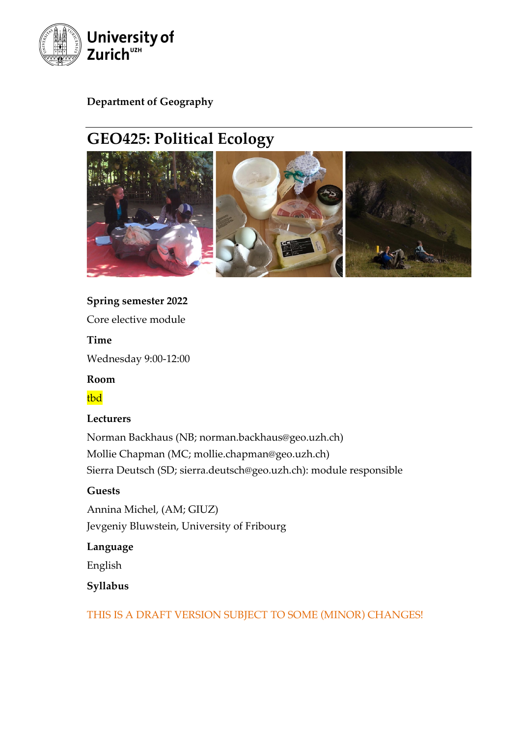

# **Department of Geography**

# **GEO425: Political Ecology**



### **Spring semester 2022**

Core elective module

**Time**

Wednesday 9:00-12:00

**Room**

tbd

#### **Lecturers**

Norman Backhaus (NB; norman.backhaus@geo.uzh.ch) Mollie Chapman (MC; mollie.chapman@geo.uzh.ch) Sierra Deutsch (SD; sierra.deutsch@geo.uzh.ch): module responsible

#### **Guests**

Annina Michel, (AM; GIUZ) Jevgeniy Bluwstein, University of Fribourg

#### **Language**

English

# **Syllabus**

THIS IS A DRAFT VERSION SUBJECT TO SOME (MINOR) CHANGES!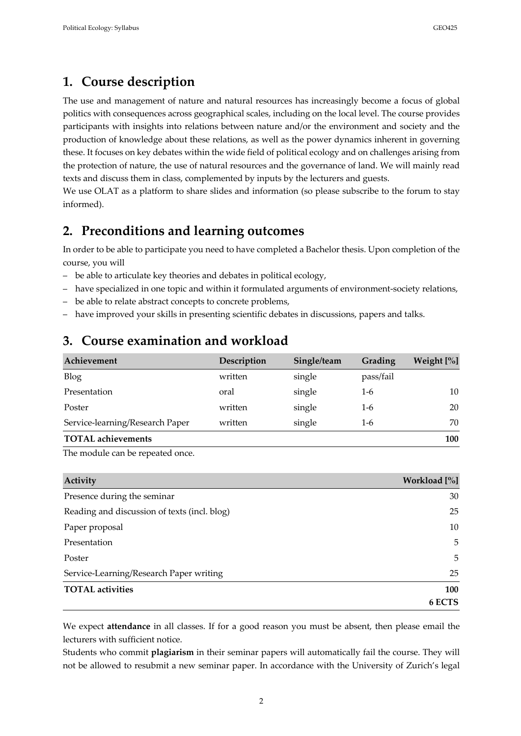# **1. Course description**

The use and management of nature and natural resources has increasingly become a focus of global politics with consequences across geographical scales, including on the local level. The course provides participants with insights into relations between nature and/or the environment and society and the production of knowledge about these relations, as well as the power dynamics inherent in governing these. It focuses on key debates within the wide field of political ecology and on challenges arising from the protection of nature, the use of natural resources and the governance of land. We will mainly read texts and discuss them in class, complemented by inputs by the lecturers and guests.

We use OLAT as a platform to share slides and information (so please subscribe to the forum to stay informed).

# **2. Preconditions and learning outcomes**

In order to be able to participate you need to have completed a Bachelor thesis. Upon completion of the course, you will

- be able to articulate key theories and debates in political ecology,
- have specialized in one topic and within it formulated arguments of environment-society relations,
- be able to relate abstract concepts to concrete problems,
- have improved your skills in presenting scientific debates in discussions, papers and talks.

# **3. Course examination and workload**

| Achievement                     | Description | Single/team | Grading   | Weight [%] |
|---------------------------------|-------------|-------------|-----------|------------|
| <b>Blog</b>                     | written     | single      | pass/fail |            |
| Presentation                    | oral        | single      | 1-6       | 10         |
| Poster                          | written     | single      | 1-6       | 20         |
| Service-learning/Research Paper | written     | single      | 1-6       | 70         |
| <b>TOTAL</b> achievements       |             |             |           | 100        |

The module can be repeated once.

| Activity                                     | Workload [%] |
|----------------------------------------------|--------------|
| Presence during the seminar                  | 30           |
| Reading and discussion of texts (incl. blog) | 25           |
| Paper proposal                               | 10           |
| Presentation                                 | 5            |
| Poster                                       | 5            |
| Service-Learning/Research Paper writing      | 25           |
| <b>TOTAL</b> activities                      | 100          |
|                                              | 6 ECTS       |

We expect **attendance** in all classes. If for a good reason you must be absent, then please email the lecturers with sufficient notice.

Students who commit **plagiarism** in their seminar papers will automatically fail the course. They will not be allowed to resubmit a new seminar paper. In accordance with the University of Zurich's legal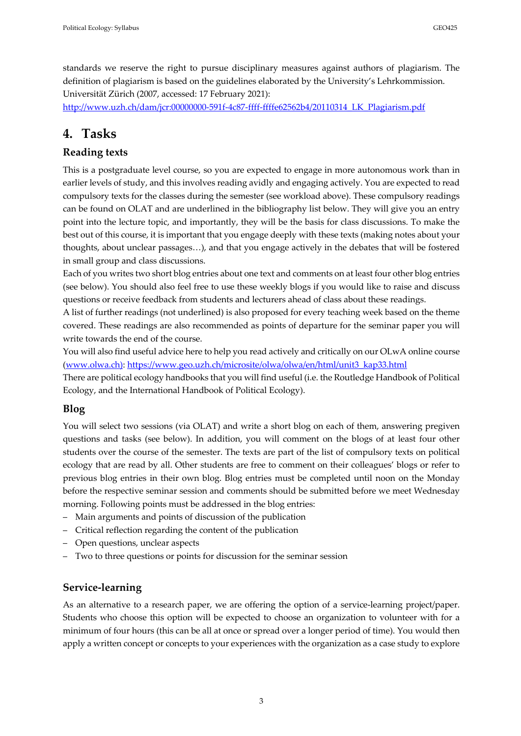standards we reserve the right to pursue disciplinary measures against authors of plagiarism. The definition of plagiarism is based on the guidelines elaborated by the University's Lehrkommission. Universität Zürich (2007, accessed: 17 February 2021):

http://www.uzh.ch/dam/jcr:00000000-591f-4c87-ffff-ffffe62562b4/20110314\_LK\_Plagiarism.pdf

# **4. Tasks**

# **Reading texts**

This is a postgraduate level course, so you are expected to engage in more autonomous work than in earlier levels of study, and this involves reading avidly and engaging actively. You are expected to read compulsory texts for the classes during the semester (see workload above). These compulsory readings can be found on OLAT and are underlined in the bibliography list below. They will give you an entry point into the lecture topic, and importantly, they will be the basis for class discussions. To make the best out of this course, it is important that you engage deeply with these texts (making notes about your thoughts, about unclear passages…), and that you engage actively in the debates that will be fostered in small group and class discussions.

Each of you writes two short blog entries about one text and comments on at least four other blog entries (see below). You should also feel free to use these weekly blogs if you would like to raise and discuss questions or receive feedback from students and lecturers ahead of class about these readings.

A list of further readings (not underlined) is also proposed for every teaching week based on the theme covered. These readings are also recommended as points of departure for the seminar paper you will write towards the end of the course.

You will also find useful advice here to help you read actively and critically on our OLwA online course (www.olwa.ch): https://www.geo.uzh.ch/microsite/olwa/olwa/en/html/unit3\_kap33.html

There are political ecology handbooks that you will find useful (i.e. the Routledge Handbook of Political Ecology, and the International Handbook of Political Ecology).

#### **Blog**

You will select two sessions (via OLAT) and write a short blog on each of them, answering pregiven questions and tasks (see below). In addition, you will comment on the blogs of at least four other students over the course of the semester. The texts are part of the list of compulsory texts on political ecology that are read by all. Other students are free to comment on their colleagues' blogs or refer to previous blog entries in their own blog. Blog entries must be completed until noon on the Monday before the respective seminar session and comments should be submitted before we meet Wednesday morning. Following points must be addressed in the blog entries:

- Main arguments and points of discussion of the publication
- Critical reflection regarding the content of the publication
- Open questions, unclear aspects
- Two to three questions or points for discussion for the seminar session

#### **Service-learning**

As an alternative to a research paper, we are offering the option of a service-learning project/paper. Students who choose this option will be expected to choose an organization to volunteer with for a minimum of four hours (this can be all at once or spread over a longer period of time). You would then apply a written concept or concepts to your experiences with the organization as a case study to explore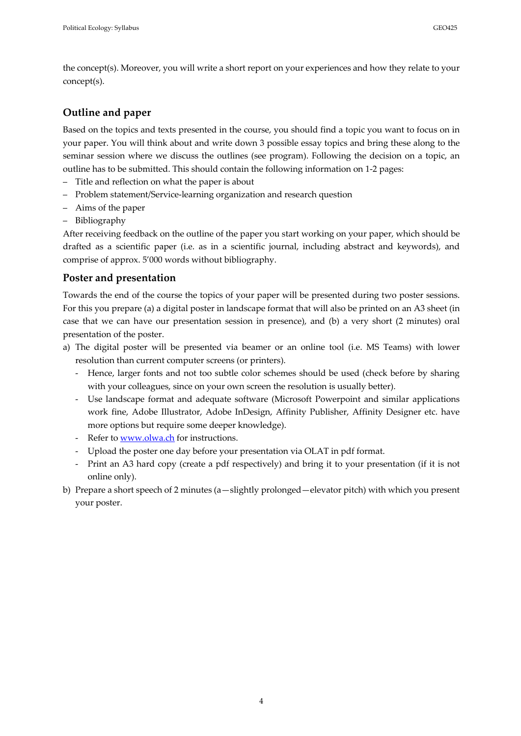the concept(s). Moreover, you will write a short report on your experiences and how they relate to your concept(s).

#### **Outline and paper**

Based on the topics and texts presented in the course, you should find a topic you want to focus on in your paper. You will think about and write down 3 possible essay topics and bring these along to the seminar session where we discuss the outlines (see program). Following the decision on a topic, an outline has to be submitted. This should contain the following information on 1-2 pages:

- Title and reflection on what the paper is about
- Problem statement/Service-learning organization and research question
- Aims of the paper
- Bibliography

After receiving feedback on the outline of the paper you start working on your paper, which should be drafted as a scientific paper (i.e. as in a scientific journal, including abstract and keywords), and comprise of approx. 5'000 words without bibliography.

#### **Poster and presentation**

Towards the end of the course the topics of your paper will be presented during two poster sessions. For this you prepare (a) a digital poster in landscape format that will also be printed on an A3 sheet (in case that we can have our presentation session in presence), and (b) a very short (2 minutes) oral presentation of the poster.

- a) The digital poster will be presented via beamer or an online tool (i.e. MS Teams) with lower resolution than current computer screens (or printers).
	- Hence, larger fonts and not too subtle color schemes should be used (check before by sharing with your colleagues, since on your own screen the resolution is usually better).
	- Use landscape format and adequate software (Microsoft Powerpoint and similar applications work fine, Adobe Illustrator, Adobe InDesign, Affinity Publisher, Affinity Designer etc. have more options but require some deeper knowledge).
	- Refer to www.olwa.ch for instructions.
	- Upload the poster one day before your presentation via OLAT in pdf format.
	- Print an A3 hard copy (create a pdf respectively) and bring it to your presentation (if it is not online only).
- b) Prepare a short speech of 2 minutes (a—slightly prolonged—elevator pitch) with which you present your poster.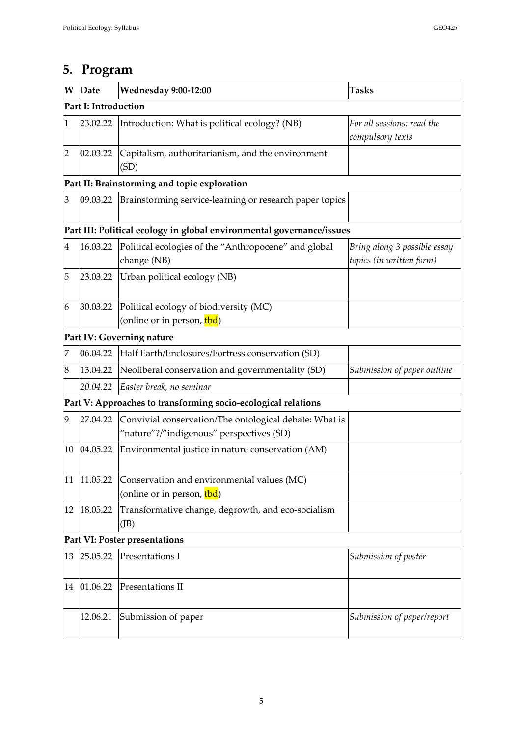| W                                                                     | Date                                         | <b>Wednesday 9:00-12:00</b>                                                                        | <b>Tasks</b>                                             |  |  |  |
|-----------------------------------------------------------------------|----------------------------------------------|----------------------------------------------------------------------------------------------------|----------------------------------------------------------|--|--|--|
| <b>Part I: Introduction</b>                                           |                                              |                                                                                                    |                                                          |  |  |  |
| $\mathbf{1}$                                                          | 23.02.22                                     | Introduction: What is political ecology? (NB)                                                      | For all sessions: read the<br>compulsory texts           |  |  |  |
| $\overline{2}$                                                        | 02.03.22                                     | Capitalism, authoritarianism, and the environment<br>(SD)                                          |                                                          |  |  |  |
|                                                                       | Part II: Brainstorming and topic exploration |                                                                                                    |                                                          |  |  |  |
| 3                                                                     | 09.03.22                                     | Brainstorming service-learning or research paper topics                                            |                                                          |  |  |  |
| Part III: Political ecology in global environmental governance/issues |                                              |                                                                                                    |                                                          |  |  |  |
| $\overline{\mathbf{4}}$                                               | 16.03.22                                     | Political ecologies of the "Anthropocene" and global<br>change (NB)                                | Bring along 3 possible essay<br>topics (in written form) |  |  |  |
| 5                                                                     | 23.03.22                                     | Urban political ecology (NB)                                                                       |                                                          |  |  |  |
| 6                                                                     | 30.03.22                                     | Political ecology of biodiversity (MC)<br>(online or in person, tbd)                               |                                                          |  |  |  |
| Part IV: Governing nature                                             |                                              |                                                                                                    |                                                          |  |  |  |
| 7                                                                     | 06.04.22                                     | Half Earth/Enclosures/Fortress conservation (SD)                                                   |                                                          |  |  |  |
| 8                                                                     | 13.04.22                                     | Neoliberal conservation and governmentality (SD)                                                   | Submission of paper outline                              |  |  |  |
|                                                                       | 20.04.22                                     | Easter break, no seminar                                                                           |                                                          |  |  |  |
| Part V: Approaches to transforming socio-ecological relations         |                                              |                                                                                                    |                                                          |  |  |  |
| 9                                                                     | 27.04.22                                     | Convivial conservation/The ontological debate: What is<br>"nature"?/"indigenous" perspectives (SD) |                                                          |  |  |  |
| 10                                                                    | 04.05.22                                     | Environmental justice in nature conservation (AM)                                                  |                                                          |  |  |  |
| 11                                                                    | 11.05.22                                     | Conservation and environmental values (MC)<br>(online or in person, tbd)                           |                                                          |  |  |  |
| 12                                                                    | 18.05.22                                     | Transformative change, degrowth, and eco-socialism<br>(JB)                                         |                                                          |  |  |  |
|                                                                       | Part VI: Poster presentations                |                                                                                                    |                                                          |  |  |  |
| 13                                                                    | 25.05.22                                     | Presentations I<br>Submission of poster                                                            |                                                          |  |  |  |
|                                                                       | 14 01.06.22                                  | Presentations II                                                                                   |                                                          |  |  |  |
|                                                                       | 12.06.21                                     | Submission of paper                                                                                | Submission of paper/report                               |  |  |  |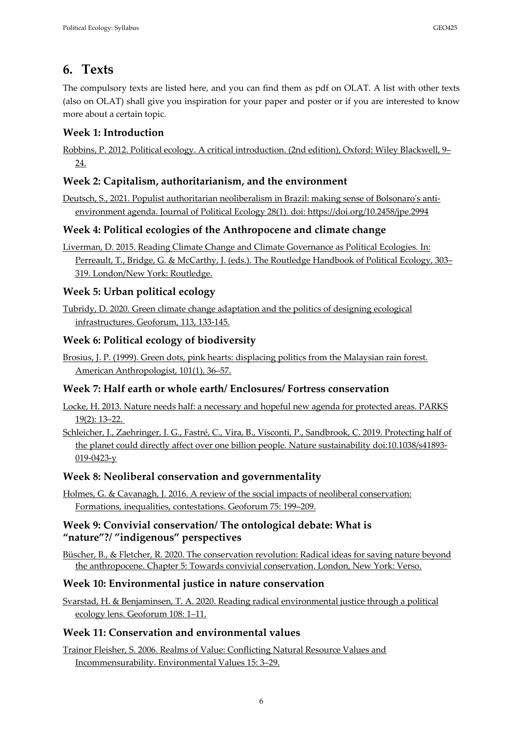# **6. Texts**

The compulsory texts are listed here, and you can find them as pdf on OLAT. A list with other texts (also on OLAT) shall give you inspiration for your paper and poster or if you are interested to know more about a certain topic.

# **Week 1: Introduction**

Robbins, P. 2012. Political ecology. A critical introduction. (2nd edition), Oxford: Wiley Blackwell, 9– 24.

### **Week 2: Capitalism, authoritarianism, and the environment**

Deutsch, S., 2021. Populist authoritarian neoliberalism in Brazil: making sense of Bolsonaro's antienvironment agenda. Journal of Political Ecology 28(1). doi: https://doi.org/10.2458/jpe.2994

### **Week 4: Political ecologies of the Anthropocene and climate change**

Liverman, D. 2015. Reading Climate Change and Climate Governance as Political Ecologies. In: Perreault, T., Bridge, G. & McCarthy, J. (eds.). The Routledge Handbook of Political Ecology, 303-319. London/New York: Routledge.

### **Week 5: Urban political ecology**

Tubridy, D. 2020. Green climate change adaptation and the politics of designing ecological infrastructures. Geoforum, 113, 133-145.

### **Week 6: Political ecology of biodiversity**

Brosius, J. P. (1999). Green dots, pink hearts: displacing politics from the Malaysian rain forest. American Anthropologist, 101(1), 36–57.

#### **Week 7: Half earth or whole earth/ Enclosures/ Fortress conservation**

Locke, H. 2013. Nature needs half: a necessary and hopeful new agenda for protected areas. PARKS 19(2): 13–22.

Schleicher, J., Zaehringer, J. G., Fastré, C., Vira, B., Visconti, P., Sandbrook, C. 2019. Protecting half of the planet could directly affect over one billion people. Nature sustainability doi:10.1038/s41893- 019-0423-y

#### **Week 8: Neoliberal conservation and governmentality**

Holmes, G. & Cavanagh, J. 2016. A review of the social impacts of neoliberal conservation: Formations, inequalities, contestations. Geoforum 75: 199–209.

#### **Week 9: Convivial conservation/ The ontological debate: What is "nature"?/ "indigenous" perspectives**

Büscher, B., & Fletcher, R. 2020. The conservation revolution: Radical ideas for saving nature beyond the anthropocene. Chapter 5: Towards convivial conservation. London, New York: Verso.

#### **Week 10: Environmental justice in nature conservation**

Svarstad, H. & Benjaminsen, T. A. 2020. Reading radical environmental justice through a political ecology lens. Geoforum 108: 1–11.

# **Week 11: Conservation and environmental values**

Trainor Fleisher, S. 2006. Realms of Value: Conflicting Natural Resource Values and Incommensurability. Environmental Values 15: 3–29.